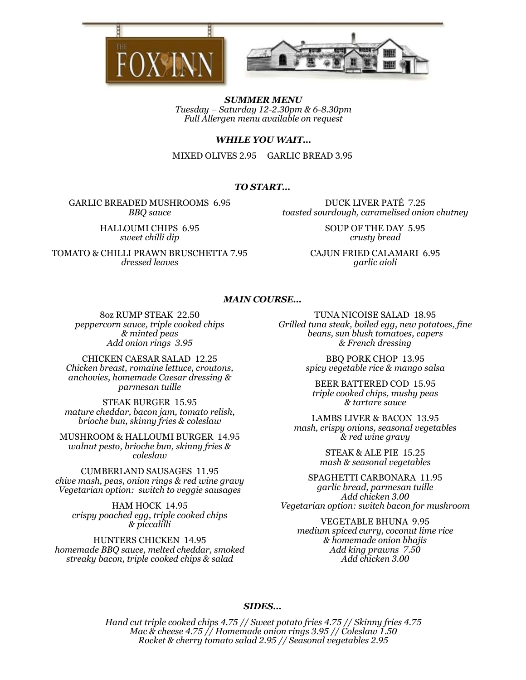



SUMMER MENU Tuesday – Saturday 12-2.30pm & 6-8.30pm Full Allergen menu available on request

### WHILE YOU WAIT…

MIXED OLIVES 2.95 GARLIC BREAD 3.95

# TO START…

GARLIC BREADED MUSHROOMS 6.95 BBQ sauce

> HALLOUMI CHIPS 6.95 sweet chilli dip

TOMATO & CHILLI PRAWN BRUSCHETTA 7.95 dressed leaves

DUCK LIVER PATÉ 7.25 toasted sourdough, caramelised onion chutney

> SOUP OF THE DAY 5.95 crusty bread

CAJUN FRIED CALAMARI 6.95 garlic aioli

#### MAIN COURSE…

8oz RUMP STEAK 22.50 peppercorn sauce, triple cooked chips & minted peas Add onion rings 3.95

CHICKEN CAESAR SALAD 12.25 Chicken breast, romaine lettuce, croutons, anchovies, homemade Caesar dressing & parmesan tuille

STEAK BURGER 15.95 mature cheddar, bacon jam, tomato relish, brioche bun, skinny fries & coleslaw

MUSHROOM & HALLOUMI BURGER 14.95 walnut pesto, brioche bun, skinny fries & coleslaw

CUMBERLAND SAUSAGES 11.95 chive mash, peas, onion rings & red wine gravy Vegetarian option: switch to veggie sausages

HAM HOCK 14.95 crispy poached egg, triple cooked chips & piccalilli

HUNTERS CHICKEN 14.95 homemade BBQ sauce, melted cheddar, smoked streaky bacon, triple cooked chips & salad

TUNA NICOISE SALAD 18.95 Grilled tuna steak, boiled egg, new potatoes, fine beans, sun blush tomatoes, capers & French dressing

> BBQ PORK CHOP 13.95 spicy vegetable rice & mango salsa

BEER BATTERED COD 15.95 triple cooked chips, mushy peas & tartare sauce

LAMBS LIVER & BACON 13.95 mash, crispy onions, seasonal vegetables & red wine gravy

> STEAK & ALE PIE 15.25 mash & seasonal vegetables

SPAGHETTI CARBONARA 11.95 garlic bread, parmesan tuille Add chicken 3.00 Vegetarian option: switch bacon for mushroom

VEGETABLE BHUNA 9.95 medium spiced curry, coconut lime rice & homemade onion bhajis Add king prawns 7.50 Add chicken 3.00

# SIDES…

Hand cut triple cooked chips 4.75 // Sweet potato fries 4.75 // Skinny fries 4.75 Mac & cheese 4.75 // Homemade onion rings 3.95 // Coleslaw 1.50 Rocket & cherry tomato salad 2.95 // Seasonal vegetables 2.95